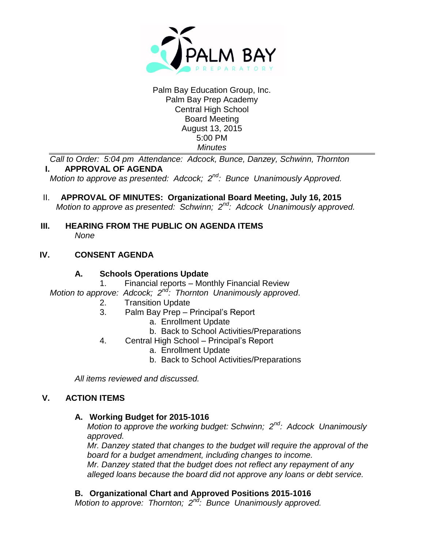

#### Palm Bay Education Group, Inc. Palm Bay Prep Academy Central High School Board Meeting August 13, 2015 5:00 PM *Minutes*

*Call to Order: 5:04 pm Attendance: Adcock, Bunce, Danzey, Schwinn, Thornton* **I. APPROVAL OF AGENDA**

*Motion to approve as presented: Adcock; 2nd: Bunce Unanimously Approved.*

- II. **APPROVAL OF MINUTES: Organizational Board Meeting, July 16, 2015** *Motion to approve as presented: Schwinn; 2nd: Adcock Unanimously approved.*
- **III. HEARING FROM THE PUBLIC ON AGENDA ITEMS** *None*

# **IV. CONSENT AGENDA**

## **A. Schools Operations Update**

1. Financial reports – Monthly Financial Review

- *Motion to approve: Adcock; 2nd: Thornton Unanimously approved*.
	- 2. Transition Update
	- 3. Palm Bay Prep Principal's Report
		- a. Enrollment Update
		- b. Back to School Activities/Preparations
	- 4. Central High School Principal's Report
		- a. Enrollment Update
		- b. Back to School Activities/Preparations

*All items reviewed and discussed.*

# **V. ACTION ITEMS**

## **A. Working Budget for 2015-1016**

*Motion to approve the working budget: Schwinn; 2nd: Adcock Unanimously approved.*

*Mr. Danzey stated that changes to the budget will require the approval of the board for a budget amendment, including changes to income.*

*Mr. Danzey stated that the budget does not reflect any repayment of any alleged loans because the board did not approve any loans or debt service.*

# **B. Organizational Chart and Approved Positions 2015-1016**

*Motion to approve: Thornton; 2nd: Bunce Unanimously approved.*